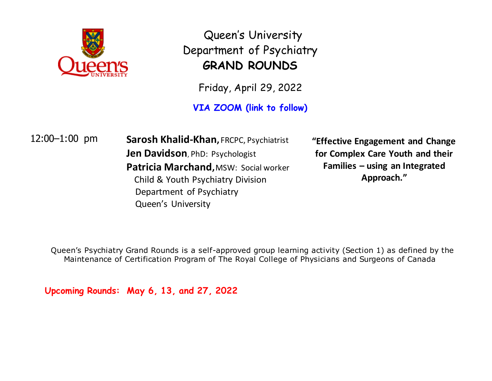

Queen's University Department of Psychiatry **GRAND ROUNDS**

Friday, April 29, 2022

**VIA ZOOM (link to follow)**

12:00–1:00 pm **Sarosh Khalid-Khan,** FRCPC, Psychiatrist **Jen Davidson**, PhD: Psychologist **Patricia Marchand,**MSW: Social worker Child & Youth Psychiatry Division Department of Psychiatry Queen's University

**"Effective Engagement and Change for Complex Care Youth and their Families – using an Integrated Approach."**

Queen's Psychiatry Grand Rounds is a self-approved group learning activity (Section 1) as defined by the Maintenance of Certification Program of The Royal College of Physicians and Surgeons of Canada

**Upcoming Rounds: May 6, 13, and 27, 2022**